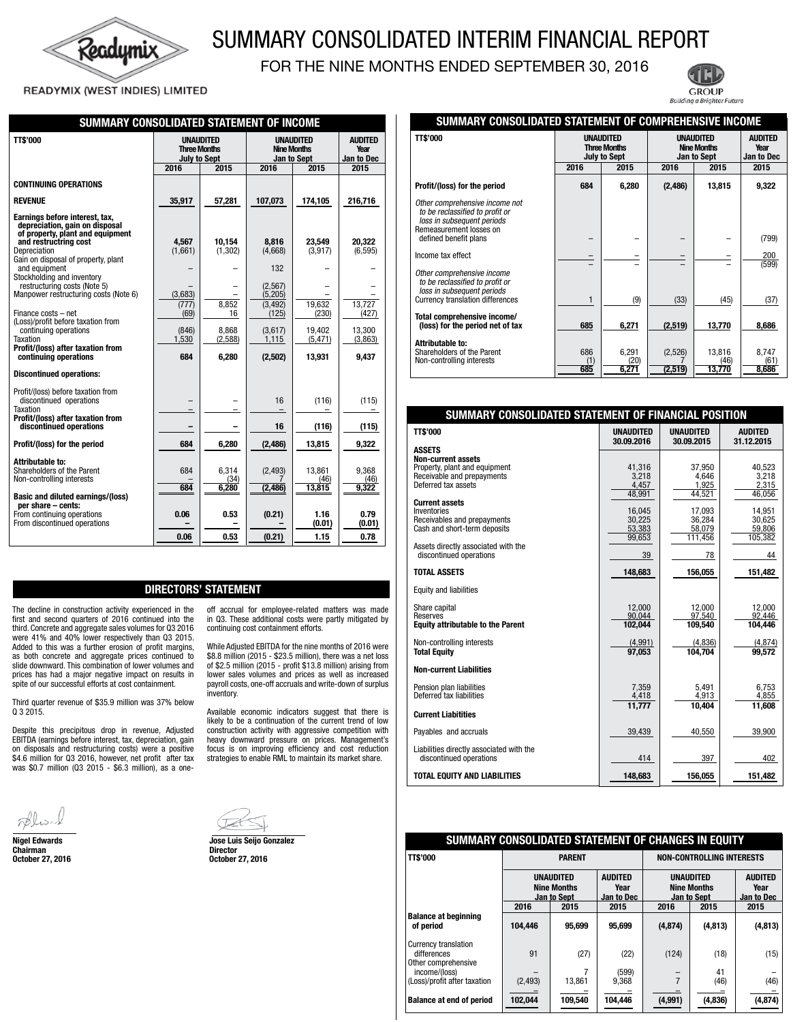

# SUMMARY CONSOLIDATED INTERIM FINANCIAL REPORT

FOR THE NINE MONTHS ENDED SEPTEMBER 30, 2016

Ξ

## READYMIX (WEST INDIES) LIMITED

| SUMMARY CONSOLIDATED STATEMENT OF INCOME                                                                                                                                                                                                                                                                                                                                                                                                                                            |                                                                       |                                                                |                                                                                                    |                                                                      |                                                                     |
|-------------------------------------------------------------------------------------------------------------------------------------------------------------------------------------------------------------------------------------------------------------------------------------------------------------------------------------------------------------------------------------------------------------------------------------------------------------------------------------|-----------------------------------------------------------------------|----------------------------------------------------------------|----------------------------------------------------------------------------------------------------|----------------------------------------------------------------------|---------------------------------------------------------------------|
| <b>TT\$'000</b>                                                                                                                                                                                                                                                                                                                                                                                                                                                                     | <b>UNAUDITED</b><br><b>Three Months</b><br><b>July to Sept</b>        |                                                                | <b>UNAUDITED</b><br><b>Nine Months</b><br>Jan to Sept                                              | <b>AUDITED</b><br>Year<br>Jan to Dec                                 |                                                                     |
|                                                                                                                                                                                                                                                                                                                                                                                                                                                                                     | 2016                                                                  | 2015                                                           | 2016                                                                                               | 2015                                                                 | 2015                                                                |
| <b>CONTINUING OPERATIONS</b>                                                                                                                                                                                                                                                                                                                                                                                                                                                        |                                                                       |                                                                |                                                                                                    |                                                                      |                                                                     |
| <b>REVENUE</b>                                                                                                                                                                                                                                                                                                                                                                                                                                                                      | 35,917                                                                | 57,281                                                         | 107,073                                                                                            | 174,105                                                              | 216,716                                                             |
| Earnings before interest, tax,<br>depreciation, gain on disposal<br>of property, plant and equipment<br>and restructring cost<br>Depreciation<br>Gain on disposal of property, plant<br>and equipment<br>Stockholding and inventory<br>restructuring costs (Note 5)<br>Manpower restructuring costs (Note 6)<br>Finance costs - net<br>(Loss)/profit before taxation from<br>continuing operations<br><b>Taxation</b><br>Profit/(loss) after taxation from<br>continuing operations | 4.567<br>(1,661)<br>(3,683)<br>(777)<br>(69)<br>(846)<br>1,530<br>684 | 10.154<br>(1, 302)<br>8,852<br>16<br>8,868<br>(2,588)<br>6,280 | 8.816<br>(4,668)<br>132<br>(2,567)<br>(5, 205)<br>(3, 492)<br>(125)<br>(3,617)<br>1,115<br>(2,502) | 23.549<br>(3,917)<br>19,632<br>(230)<br>19,402<br>(5, 471)<br>13,931 | 20,322<br>(6, 595)<br>13,727<br>(427)<br>13,300<br>(3,863)<br>9,437 |
| <b>Discontinued operations:</b>                                                                                                                                                                                                                                                                                                                                                                                                                                                     |                                                                       |                                                                |                                                                                                    |                                                                      |                                                                     |
| Profit/(loss) before taxation from<br>discontinued operations<br><b>Taxation</b><br>Profit/(loss) after taxation from<br>discontinued operations                                                                                                                                                                                                                                                                                                                                    |                                                                       |                                                                | 16<br>16                                                                                           | (116)<br>(116)                                                       | (115)<br>(115)                                                      |
| Profit/(loss) for the period                                                                                                                                                                                                                                                                                                                                                                                                                                                        | 684                                                                   | 6,280                                                          | (2, 486)                                                                                           | 13,815                                                               | 9,322                                                               |
| Attributable to:<br>Shareholders of the Parent<br>Non-controlling interests<br><b>Basic and diluted earnings/(loss)</b><br>per share - cents:<br>From continuing operations<br>From discontinued operations                                                                                                                                                                                                                                                                         | 684<br>684<br>0.06<br>0.06                                            | 6,314<br>(34)<br>6,280<br>0.53<br>0.53                         | (2, 493)<br>(2, 486)<br>(0.21)<br>(0.21)                                                           | 13,861<br>(46)<br>13,815<br>1.16<br>(0.01)<br>1.15                   | 9,368<br>(46)<br>9,322<br>0.79<br>(0.01)<br>0.78                    |
|                                                                                                                                                                                                                                                                                                                                                                                                                                                                                     |                                                                       |                                                                |                                                                                                    |                                                                      |                                                                     |

# DIRECTORS' STATEMENT

The decline in construction activity experienced in the first and second quarters of 2016 continued into the third. Concrete and aggregate sales volumes for Q3 2016 were 41% and 40% lower respectively than Q3 2015. Added to this was a further erosion of profit margins, as both concrete and aggregate prices continued to slide downward. This combination of lower volumes and prices has had a major negative impact on results in spite of our successful efforts at cost containment.

Third quarter revenue of \$35.9 million was 37% below Q 3 2015.

Despite this precipitous drop in revenue, Adjusted EBITDA (earnings before interest, tax, depreciation, gain on disposals and restructuring costs) were a positive \$4.6 million for Q3 2016, however, net profit after tax was \$0.7 million (Q3 2015 - \$6.3 million), as a one-

Chairman<br>October 27, 2016



inventory.

Nigel Edwards Jose Luis Seijo Gonzalez **October 27, 2016** 

off accrual for employee-related matters was made in Q3. These additional costs were partly mitigated by

While Adjusted EBITDA for the nine months of 2016 were \$8.8 million (2015 - \$23.5 million), there was a net loss of \$2.5 million (2015 - profit \$13.8 million) arising from lower sales volumes and prices as well as increased payroll costs, one-off accruals and write-down of surplus

Available economic indicators suggest that there is likely to be a continuation of the current trend of low construction activity with aggressive competition with heavy downward pressure on prices. Management's focus is on improving efficiency and cost reduction strategies to enable RML to maintain its market share.

continuing cost containment efforts.



Building a Brighter Future

| SUMMARY CONSOLIDATED STATEMENT OF COMPREHENSIVE INCOME                                                                                 |                                                                |                        |                                                              |                          |                                      |  |
|----------------------------------------------------------------------------------------------------------------------------------------|----------------------------------------------------------------|------------------------|--------------------------------------------------------------|--------------------------|--------------------------------------|--|
| <b>TT\$'000</b>                                                                                                                        | <b>UNAUDITED</b><br><b>Three Months</b><br><b>July to Sept</b> |                        | <b>UNAUDITED</b><br><b>Nine Months</b><br><b>Jan to Sept</b> |                          | <b>AUDITED</b><br>Year<br>Jan to Dec |  |
|                                                                                                                                        | 2016                                                           | 2015                   | 2016                                                         | 2015                     | 2015                                 |  |
| Profit/(loss) for the period                                                                                                           | 684                                                            | 6,280                  | (2,486)                                                      | 13,815                   | 9,322                                |  |
| Other comprehensive income not<br>to be reclassified to profit or<br>loss in subsequent periods<br>Remeasurement losses on             |                                                                |                        |                                                              |                          |                                      |  |
| defined benefit plans                                                                                                                  |                                                                |                        |                                                              |                          | (799)                                |  |
| Income tax effect                                                                                                                      |                                                                |                        |                                                              |                          | 200<br>(599)                         |  |
| Other comprehensive income<br>to be reclassified to profit or<br>loss in subsequent periods<br><b>Currency translation differences</b> | 1                                                              | (9)                    | (33)                                                         | (45)                     | (37)                                 |  |
| Total comprehensive income/<br>(loss) for the period net of tax                                                                        | 685                                                            | 6,271                  | (2,519)                                                      | 13,770                   | 8,686                                |  |
| Attributable to:<br>Shareholders of the Parent<br>Non-controlling interests                                                            | 686<br>(1)<br>685                                              | 6,291<br>(20)<br>6,271 | (2,526)<br>(2, 519)                                          | 13,816<br>(46)<br>13,770 | 8,747<br>(61)<br>8,686               |  |

| SUMMARY CONSOLIDATED STATEMENT OF FINANCIAL POSITION                |                  |                   |                  |
|---------------------------------------------------------------------|------------------|-------------------|------------------|
| <b>TT\$'000</b>                                                     | <b>UNAUDITED</b> | <b>UNAUDITED</b>  | <b>AUDITED</b>   |
| <b>ASSETS</b><br><b>Non-current assets</b>                          | 30.09.2016       | 30.09.2015        | 31.12.2015       |
| Property, plant and equipment<br>Receivable and prepayments         | 41,316<br>3,218  | 37,950<br>4.646   | 40,523<br>3,218  |
| Deferred tax assets                                                 | 4,457<br>48,991  | 1,925<br>44,521   | 2.315<br>46,056  |
| <b>Current assets</b>                                               |                  |                   |                  |
| Inventories                                                         | 16.045           | 17,093            | 14,951           |
| Receivables and prepayments<br>Cash and short-term deposits         | 30,225<br>53,383 | 36,284            | 30,625<br>59,806 |
|                                                                     | 99,653           | 58,079<br>111,456 | 105,382          |
| Assets directly associated with the                                 |                  |                   |                  |
| discontinued operations                                             | 39               | 78                | 44               |
| <b>TOTAL ASSETS</b>                                                 | 148,683          | 156,055           | 151,482          |
| Equity and liabilities                                              |                  |                   |                  |
| Share capital                                                       | 12.000           | 12.000            | 12.000           |
| Reserves                                                            | 90.044           | 97.540            | 92.446           |
| <b>Equity attributable to the Parent</b>                            | 102.044          | 109.540           | 104.446          |
| Non-controlling interests                                           | (4,991)          | (4,836)           | (4, 874)         |
| <b>Total Equity</b>                                                 | 97.053           | 104.704           | 99.572           |
| <b>Non-current Liabilities</b>                                      |                  |                   |                  |
| Pension plan liabilities                                            | 7,359            | 5,491             | 6,753            |
| Deferred tax liabilities                                            | 4,418<br>11,777  | 4,913<br>10,404   | 4,855<br>11,608  |
| <b>Current Liabitities</b>                                          |                  |                   |                  |
| Payables and accruals                                               | 39.439           | 40.550            | 39,900           |
| Liabilities directly associated with the<br>discontinued operations | 414              | 397               | 402              |
| <b>TOTAL EQUITY AND LIABILITIES</b>                                 | 148,683          | 156,055           | 151,482          |

#### **SUMMARY CONSOLIDATED STATEMENT OF CHANGES IN EQUITY TT\$'000 PARENT NON-CONTROLLING INTERESTS UNAUDITED UNAUDITED AUDITED UNAUDITED AUDITED Nine Months | Year | Nine Months | Year Jan to Sept Jan to Dec Jan to Sept Jan to Dec 2016 2015 2015 2016 2015 2015 Balance at beginning of period 104,446 95,699 95,699 (4,874) (4,813) (4,813)** Currency translation differences | 91 (27) (22) (124) (18) (15) Other comprehensive income/(loss) – 7 (599) – 41 – (Loss)/profit after taxation  $(2,493)$  | 13,861 | 9,368 | 7 |  $(46)$  |  $(46)$ – – – – – – **Balance at end of period | 102,044 | 109,540 | 104,446 | (4,991) | (4,836) | (4,874)**